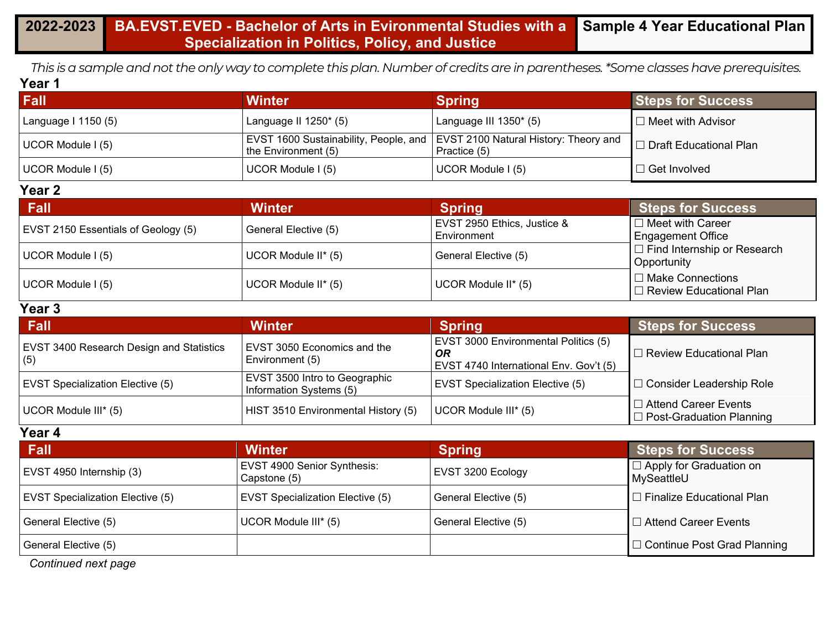*This is a sample and not the only way to complete this plan. Number of credits are in parentheses. \*Some classes have prerequisites.* **Year 1**

| Fall                | Winter                   | <b>Spring</b>                                                                                 | <b>Steps for Success</b> |
|---------------------|--------------------------|-----------------------------------------------------------------------------------------------|--------------------------|
| Language I 1150 (5) | Language II $1250^*$ (5) | Language III $1350^*$ (5)                                                                     | $\Box$ Meet with Advisor |
| UCOR Module I (5)   | the Environment (5)      | EVST 1600 Sustainability, People, and   EVST 2100 Natural History: Theory and<br>Practice (5) | □ Draft Educational Plan |
| UCOR Module I (5)   | UCOR Module I (5)        | UCOR Module I (5)                                                                             | $\Box$ Get Involved      |

#### **Year 2**

| <b>Fall</b>                         | <b>Winter</b>        | <b>Spring</b>                              | <b>Steps for Success</b>                               |  |
|-------------------------------------|----------------------|--------------------------------------------|--------------------------------------------------------|--|
| EVST 2150 Essentials of Geology (5) | General Elective (5) | EVST 2950 Ethics, Justice &<br>Environment | $\Box$ Meet with Career<br><b>Engagement Office</b>    |  |
| UCOR Module I (5)                   | UCOR Module II* (5)  | General Elective (5)                       | $\Box$ Find Internship or Research<br>Opportunity      |  |
| UCOR Module I (5)                   | UCOR Module II* (5)  | UCOR Module II* (5)                        | I □ Make Connections<br>$\Box$ Review Educational Plan |  |

#### **Year 3**

| Fall                                                   | <b>Winter</b>                                            | <b>Spring</b>                                                                        | <b>Steps for Success</b>                                       |  |
|--------------------------------------------------------|----------------------------------------------------------|--------------------------------------------------------------------------------------|----------------------------------------------------------------|--|
| <b>EVST 3400 Research Design and Statistics</b><br>(5) | <b>EVST 3050 Economics and the</b><br>Environment (5)    | EVST 3000 Environmental Politics (5)<br>OR<br>EVST 4740 International Env. Gov't (5) | □ Review Educational Plan                                      |  |
| <b>EVST Specialization Elective (5)</b>                | EVST 3500 Intro to Geographic<br>Information Systems (5) | <b>EVST Specialization Elective (5)</b>                                              | □ Consider Leadership Role                                     |  |
| UCOR Module III* (5)                                   | HIST 3510 Environmental History (5)                      | UCOR Module III* (5)                                                                 | $\Box$ Attend Career Events<br>$\Box$ Post-Graduation Planning |  |

#### **Year 4**

| <b>Fall</b>                             | <b>Winter</b>                                      | <b>Spring</b>        | <b>Steps for Success</b>                     |
|-----------------------------------------|----------------------------------------------------|----------------------|----------------------------------------------|
| EVST 4950 Internship (3)                | <b>EVST 4900 Senior Synthesis:</b><br>Capstone (5) | EVST 3200 Ecology    | $\Box$ Apply for Graduation on<br>MySeattleU |
| <b>EVST Specialization Elective (5)</b> | <b>EVST Specialization Elective (5)</b>            | General Elective (5) | I □ Finalize Educational Plan                |
| General Elective (5)                    | UCOR Module III* (5)                               | General Elective (5) | I □ Attend Career Events                     |
| General Elective (5)                    |                                                    |                      | □ Continue Post Grad Planning                |

*Continued next page*